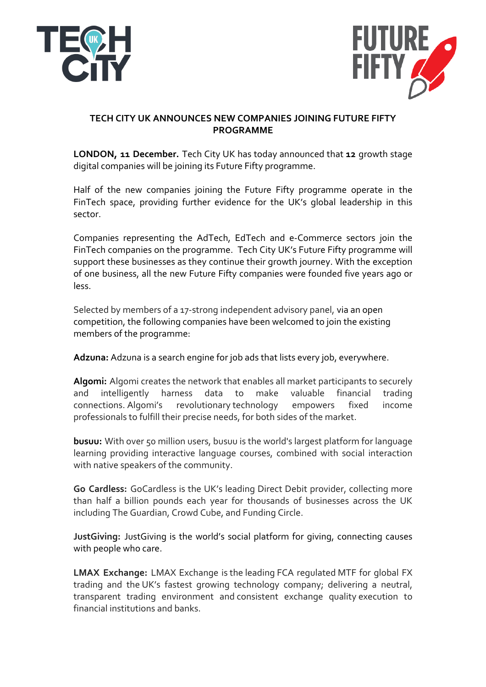



# **TECH CITY UK ANNOUNCES NEW COMPANIES JOINING FUTURE FIFTY PROGRAMME**

**LONDON, 11 December.** Tech City UK has today announced that 12 growth stage digital companies will be joining its Future Fifty programme.

Half of the new companies joining the Future Fifty programme operate in the FinTech space, providing further evidence for the UK's global leadership in this sector. 

Companies representing the AdTech, EdTech and e-Commerce sectors join the FinTech companies on the programme. Tech City UK's Future Fifty programme will support these businesses as they continue their growth journey. With the exception of one business, all the new Future Fifty companies were founded five years ago or less.

Selected by members of a 17-strong independent advisory panel, via an open competition, the following companies have been welcomed to join the existing members of the programme:

Adzuna: Adzuna is a search engine for job ads that lists every job, everywhere.

Algomi: Algomi creates the network that enables all market participants to securely and intelligently harness data to make valuable financial trading connections. Algomi's revolutionary technology empowers fixed income professionals to fulfill their precise needs, for both sides of the market.

**busuu:** With over 50 million users, busuu is the world's largest platform for language learning providing interactive language courses, combined with social interaction with native speakers of the community.

**Go Cardless:** GoCardless is the UK's leading Direct Debit provider, collecting more than half a billion pounds each year for thousands of businesses across the UK including The Guardian, Crowd Cube, and Funding Circle.

**JustGiving:** JustGiving is the world's social platform for giving, connecting causes with people who care.

**LMAX Exchange:** LMAX Exchange is the leading FCA regulated MTF for global FX trading and the UK's fastest growing technology company; delivering a neutral, transparent trading environment and consistent exchange quality execution to financial institutions and banks.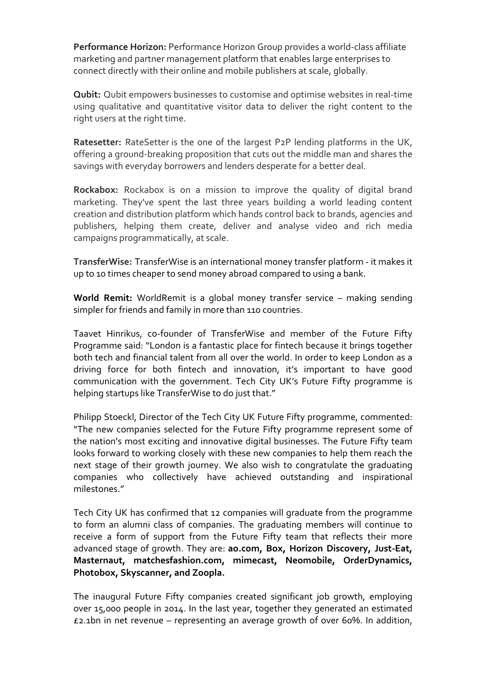Performance Horizon: Performance Horizon Group provides a world-class affiliate marketing and partner management platform that enables large enterprises to connect directly with their online and mobile publishers at scale, globally.

**Qubit:** Qubit empowers businesses to customise and optimise websites in real-time using qualitative and quantitative visitor data to deliver the right content to the right users at the right time.

**Ratesetter:** RateSetter is the one of the largest P<sub>2</sub>P lending platforms in the UK, offering a ground-breaking proposition that cuts out the middle man and shares the savings with everyday borrowers and lenders desperate for a better deal.

**Rockabox:** Rockabox is on a mission to improve the quality of digital brand marketing. They've spent the last three years building a world leading content creation and distribution platform which hands control back to brands, agencies and publishers, helping them create, deliver and analyse video and rich media campaigns programmatically, at scale.

**TransferWise:** TransferWise is an international money transfer platform - it makes it up to 10 times cheaper to send money abroad compared to using a bank.

**World Remit:** WorldRemit is a global money transfer service – making sending simpler for friends and family in more than 110 countries.

Taavet Hinrikus, co-founder of TransferWise and member of the Future Fifty Programme said: "London is a fantastic place for fintech because it brings together both tech and financial talent from all over the world. In order to keep London as a driving force for both fintech and innovation, it's important to have good communication with the government. Tech City UK's Future Fifty programme is helping startups like TransferWise to do just that."

Philipp Stoeckl, Director of the Tech City UK Future Fifty programme, commented: "The new companies selected for the Future Fifty programme represent some of the nation's most exciting and innovative digital businesses. The Future Fifty team looks forward to working closely with these new companies to help them reach the next stage of their growth journey. We also wish to congratulate the graduating companies who collectively have achieved outstanding and inspirational milestones." 

Tech City UK has confirmed that 12 companies will graduate from the programme to form an alumni class of companies. The graduating members will continue to receive a form of support from the Future Fifty team that reflects their more advanced stage of growth. They are: **ao.com, Box, Horizon Discovery, Just-Eat, Masternaut, matchesfashion.com, mimecast, Neomobile, OrderDynamics, Photobox, Skyscanner, and Zoopla.**

The inaugural Future Fifty companies created significant job growth, employing over 15,000 people in 2014. In the last year, together they generated an estimated  $£2.1$ bn in net revenue – representing an average growth of over 60%. In addition,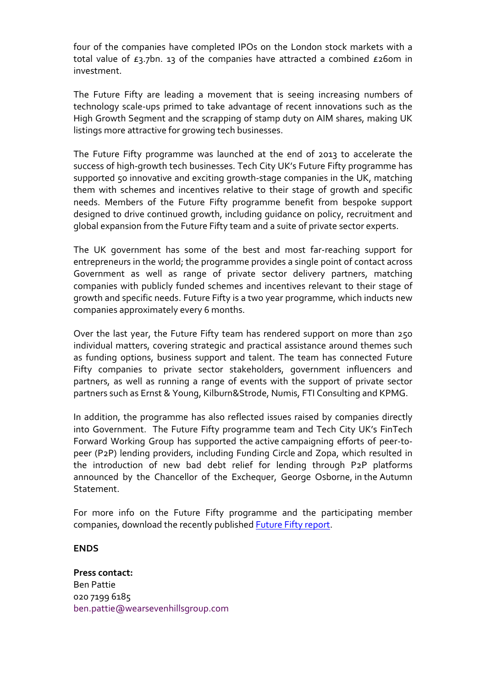four of the companies have completed IPOs on the London stock markets with a total value of  $E_3$ .7bn. 13 of the companies have attracted a combined  $E_2$ 60m in investment.

The Future Fifty are leading a movement that is seeing increasing numbers of technology scale-ups primed to take advantage of recent innovations such as the High Growth Segment and the scrapping of stamp duty on AIM shares, making UK listings more attractive for growing tech businesses.

The Future Fifty programme was launched at the end of 2013 to accelerate the success of high-growth tech businesses. Tech City UK's Future Fifty programme has supported 50 innovative and exciting growth-stage companies in the UK, matching them with schemes and incentives relative to their stage of growth and specific needs. Members of the Future Fifty programme benefit from bespoke support designed to drive continued growth, including quidance on policy, recruitment and global expansion from the Future Fifty team and a suite of private sector experts.

The UK government has some of the best and most far-reaching support for entrepreneurs in the world; the programme provides a single point of contact across Government as well as range of private sector delivery partners, matching companies with publicly funded schemes and incentives relevant to their stage of growth and specific needs. Future Fifty is a two year programme, which inducts new companies approximately every 6 months.

Over the last year, the Future Fifty team has rendered support on more than 250 individual matters, covering strategic and practical assistance around themes such as funding options, business support and talent. The team has connected Future Fifty companies to private sector stakeholders, government influencers and partners, as well as running a range of events with the support of private sector partners such as Ernst & Young, Kilburn&Strode, Numis, FTI Consulting and KPMG.

In addition, the programme has also reflected issues raised by companies directly into Government. The Future Fifty programme team and Tech City UK's FinTech Forward Working Group has supported the active campaigning efforts of peer-topeer (P2P) lending providers, including Funding Circle and Zopa, which resulted in the introduction of new bad debt relief for lending through P2P platforms announced by the Chancellor of the Exchequer, George Osborne, in the Autumn **Statement** 

For more info on the Future Fifty programme and the participating member companies, download the recently published Future Fifty report.

## **ENDS**

**Press contact:** Ben Pattie 020 7199 6185 ben.pattie@wearsevenhillsgroup.com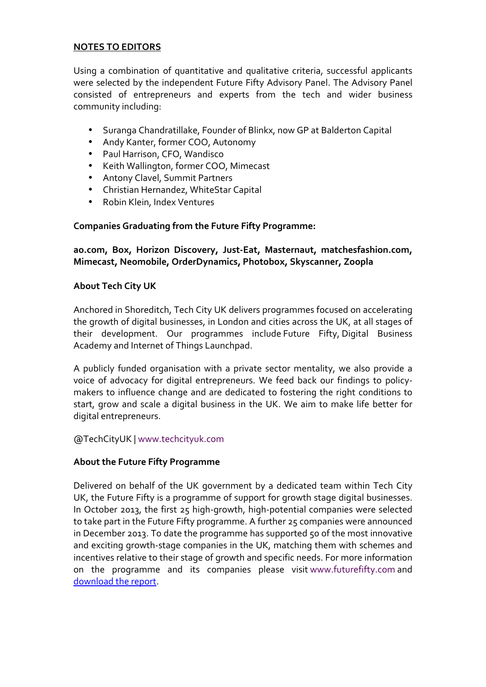# **NOTES TO EDITORS**

Using a combination of quantitative and qualitative criteria, successful applicants were selected by the independent Future Fifty Advisory Panel. The Advisory Panel consisted of entrepreneurs and experts from the tech and wider business community including:

- Suranga Chandratillake, Founder of Blinkx, now GP at Balderton Capital
- Andy Kanter, former COO, Autonomy
- Paul Harrison, CFO, Wandisco
- Keith Wallington, former COO, Mimecast
- Antony Clavel, Summit Partners
- Christian Hernandez, WhiteStar Capital
- Robin Klein, Index Ventures

# Companies Graduating from the Future Fifty Programme:

# ao.com, Box, Horizon Discovery, Just-Eat, Masternaut, matchesfashion.com, **Mimecast, Neomobile, OrderDynamics, Photobox, Skyscanner, Zoopla**

# **About Tech City UK**

Anchored in Shoreditch, Tech City UK delivers programmes focused on accelerating the growth of digital businesses, in London and cities across the UK, at all stages of their development. Our programmes include Future Fifty, Digital Business Academy and Internet of Things Launchpad.

A publicly funded organisation with a private sector mentality, we also provide a voice of advocacy for digital entrepreneurs. We feed back our findings to policymakers to influence change and are dedicated to fostering the right conditions to start, grow and scale a digital business in the UK. We aim to make life better for digital entrepreneurs.

# @TechCityUK | www.techcityuk.com

# **About the Future Fifty Programme**

Delivered on behalf of the UK government by a dedicated team within Tech City UK, the Future Fifty is a programme of support for growth stage digital businesses. In October 2013, the first  $25$  high-growth, high-potential companies were selected to take part in the Future Fifty programme. A further 25 companies were announced in December 2013. To date the programme has supported 50 of the most innovative and exciting growth-stage companies in the UK, matching them with schemes and incentives relative to their stage of growth and specific needs. For more information on the programme and its companies please visit www.futurefifty.com and download the report.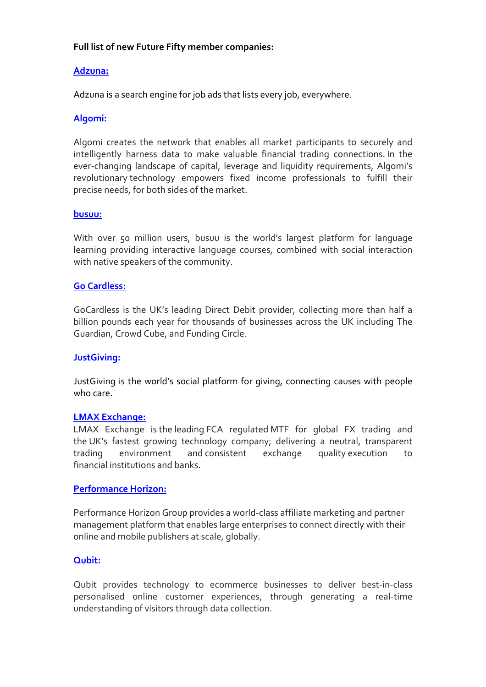# Full list of new Future Fifty member companies:

# **Adzuna:**

Adzuna is a search engine for job ads that lists every job, everywhere.

# **Algomi:**

Algomi creates the network that enables all market participants to securely and intelligently harness data to make valuable financial trading connections. In the ever-changing landscape of capital, leverage and liquidity requirements, Algomi's revolutionary technology empowers fixed income professionals to fulfill their precise needs, for both sides of the market.

## **busuu:**

With over 50 million users, busuu is the world's largest platform for language learning providing interactive language courses, combined with social interaction with native speakers of the community.

## **Go Cardless:**

GoCardless is the UK's leading Direct Debit provider, collecting more than half a billion pounds each year for thousands of businesses across the UK including The Guardian, Crowd Cube, and Funding Circle.

### **JustGiving:**

JustGiving is the world's social platform for giving, connecting causes with people who care.

### **LMAX Exchange:**

LMAX Exchange is the leading FCA regulated MTF for global FX trading and the UK's fastest growing technology company; delivering a neutral, transparent trading environment and consistent exchange quality execution to financial institutions and banks.

### **Performance Horizon:**

Performance Horizon Group provides a world-class affiliate marketing and partner management platform that enables large enterprises to connect directly with their online and mobile publishers at scale, globally.

### **Qubit:**

Qubit provides technology to ecommerce businesses to deliver best-in-class personalised online customer experiences, through generating a real-time understanding of visitors through data collection.